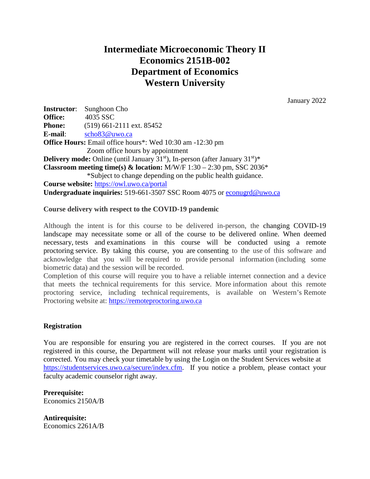# **Intermediate Microeconomic Theory II Economics 2151B-002 Department of Economics Western University**

January 2022

**Instructor**: Sunghoon Cho **Office:** 4035 SSC **Phone:** (519) 661-2111 ext. 85452 **E-mail**: [scho83@uwo.ca](mailto:scho83@uwo.ca) **Office Hours:** Email office hours\*: Wed 10:30 am -12:30 pm Zoom office hours by appointment **Delivery mode:** Online (until January 31<sup>st</sup>), In-person (after January 31<sup>st</sup>)\* **Classroom meeting time(s) & location:** M/W/F  $1:30 - 2:30$  pm, SSC  $2036*$ \*Subject to change depending on the public health guidance. **Course website:** <https://owl.uwo.ca/portal> **Undergraduate inquiries:** 519-661-3507 SSC Room 4075 or [econugrd@uwo.ca](mailto:econugrd@uwo.ca)

#### **Course delivery with respect to the COVID-19 pandemic**

Although the intent is for this course to be delivered in-person, the changing COVID-19 landscape may necessitate some or all of the course to be delivered online. When deemed necessary, tests and examinations in this course will be conducted using a remote proctoring service. By taking this course, you are consenting to the use of this software and acknowledge that you will be required to provide personal information (including some biometric data) and the session will be recorded.

Completion of this course will require you to have a reliable internet connection and a device that meets the technical requirements for this service. More information about this remote proctoring service, including technical requirements, is available on Western's Remote Proctoring website at: [https://remoteproctoring.uwo.ca](https://remoteproctoring.uwo.ca/)

#### **Registration**

You are responsible for ensuring you are registered in the correct courses. If you are not registered in this course, the Department will not release your marks until your registration is corrected. You may check your timetable by using the Login on the Student Services website at [https://studentservices.uwo.ca/secure/index.cfm.](https://studentservices.uwo.ca/secure/index.cfm) If you notice a problem, please contact your faculty academic counselor right away.

**Prerequisite:**  Economics 2150A/B

**Antirequisite:** Economics 2261A/B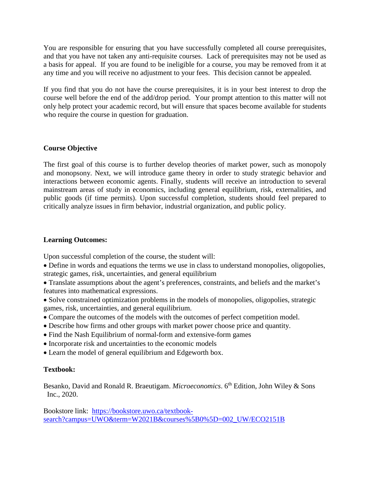You are responsible for ensuring that you have successfully completed all course prerequisites, and that you have not taken any anti-requisite courses. Lack of prerequisites may not be used as a basis for appeal. If you are found to be ineligible for a course, you may be removed from it at any time and you will receive no adjustment to your fees. This decision cannot be appealed.

If you find that you do not have the course prerequisites, it is in your best interest to drop the course well before the end of the add/drop period. Your prompt attention to this matter will not only help protect your academic record, but will ensure that spaces become available for students who require the course in question for graduation.

# **Course Objective**

The first goal of this course is to further develop theories of market power, such as monopoly and monopsony. Next, we will introduce game theory in order to study strategic behavior and interactions between economic agents. Finally, students will receive an introduction to several mainstream areas of study in economics, including general equilibrium, risk, externalities, and public goods (if time permits). Upon successful completion, students should feel prepared to critically analyze issues in firm behavior, industrial organization, and public policy.

# **Learning Outcomes:**

Upon successful completion of the course, the student will:

• Define in words and equations the terms we use in class to understand monopolies, oligopolies, strategic games, risk, uncertainties, and general equilibrium

• Translate assumptions about the agent's preferences, constraints, and beliefs and the market's features into mathematical expressions.

- Solve constrained optimization problems in the models of monopolies, oligopolies, strategic games, risk, uncertainties, and general equilibrium.
- Compare the outcomes of the models with the outcomes of perfect competition model.
- Describe how firms and other groups with market power choose price and quantity.
- Find the Nash Equilibrium of normal-form and extensive-form games
- Incorporate risk and uncertainties to the economic models
- Learn the model of general equilibrium and Edgeworth box.

# **Textbook:**

Besanko, David and Ronald R. Braeutigam. *Microeconomics*. 6<sup>th</sup> Edition, John Wiley & Sons Inc., 2020.

Bookstore link: [https://bookstore.uwo.ca/textbook](https://bookstore.uwo.ca/textbook-search?campus=UWO&term=W2021B&courses%5B0%5D=002_UW/ECO2151B)[search?campus=UWO&term=W2021B&courses%5B0%5D=002\\_UW/ECO2151B](https://bookstore.uwo.ca/textbook-search?campus=UWO&term=W2021B&courses%5B0%5D=002_UW/ECO2151B)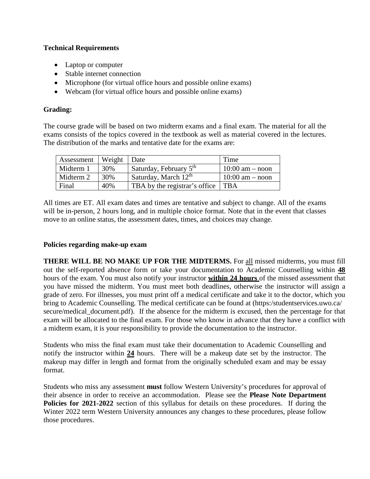# **Technical Requirements**

- Laptop or computer
- Stable internet connection
- Microphone (for virtual office hours and possible online exams)
- Webcam (for virtual office hours and possible online exams)

# **Grading:**

The course grade will be based on two midterm exams and a final exam. The material for all the exams consists of the topics covered in the textbook as well as material covered in the lectures. The distribution of the marks and tentative date for the exams are:

| Assessment | Weight | Date                               | Time                |
|------------|--------|------------------------------------|---------------------|
| Midterm 1  | 30%    | Saturday, February 5 <sup>th</sup> | $10:00$ am – noon   |
| Midterm 2  | 30%    | Saturday, March $12th$             | $10:00$ am $-$ noon |
| Final      | 40%    | TBA by the registrar's office      | l TBA               |

All times are ET. All exam dates and times are tentative and subject to change. All of the exams will be in-person, 2 hours long, and in multiple choice format. Note that in the event that classes move to an online status, the assessment dates, times, and choices may change.

# **Policies regarding make-up exam**

**THERE WILL BE NO MAKE UP FOR THE MIDTERMS.** For all missed midterms, you must fill out the self-reported absence form or take your documentation to Academic Counselling within **48**  hours of the exam. You must also notify your instructor **within 24 hours** of the missed assessment that you have missed the midterm. You must meet both deadlines, otherwise the instructor will assign a grade of zero. For illnesses, you must print off a medical certificate and take it to the doctor, which you bring to Academic Counselling. The medical certificate can be found at (https:/studentservices.uwo.ca/ secure/medical\_document.pdf). If the absence for the midterm is excused, then the percentage for that exam will be allocated to the final exam. For those who know in advance that they have a conflict with a midterm exam, it is your responsibility to provide the documentation to the instructor.

Students who miss the final exam must take their documentation to Academic Counselling and notify the instructor within **24** hours. There will be a makeup date set by the instructor. The makeup may differ in length and format from the originally scheduled exam and may be essay format.

Students who miss any assessment **must** follow Western University's procedures for approval of their absence in order to receive an accommodation. Please see the **Please Note Department Policies for 2021-2022** section of this syllabus for details on these procedures. If during the Winter 2022 term Western University announces any changes to these procedures, please follow those procedures.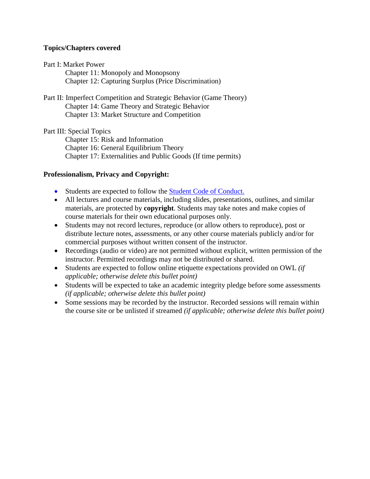# **Topics/Chapters covered**

#### Part I: Market Power

Chapter 11: Monopoly and Monopsony Chapter 12: Capturing Surplus (Price Discrimination)

#### Part II: Imperfect Competition and Strategic Behavior (Game Theory) Chapter 14: Game Theory and Strategic Behavior

Chapter 13: Market Structure and Competition

Part III: Special Topics

Chapter 15: Risk and Information Chapter 16: General Equilibrium Theory Chapter 17: Externalities and Public Goods (If time permits)

# **Professionalism, Privacy and Copyright:**

- Students are expected to follow the [Student Code of Conduct.](https://www.uwo.ca/univsec/pdf/board/code.pdf)
- All lectures and course materials, including slides, presentations, outlines, and similar materials, are protected by **copyright**. Students may take notes and make copies of course materials for their own educational purposes only.
- Students may not record lectures, reproduce (or allow others to reproduce), post or distribute lecture notes, assessments, or any other course materials publicly and/or for commercial purposes without written consent of the instructor.
- Recordings (audio or video) are not permitted without explicit, written permission of the instructor. Permitted recordings may not be distributed or shared.
- Students are expected to follow online etiquette expectations provided on OWL *(if applicable; otherwise delete this bullet point)*
- Students will be expected to take an academic integrity pledge before some assessments *(if applicable; otherwise delete this bullet point)*
- Some sessions may be recorded by the instructor. Recorded sessions will remain within the course site or be unlisted if streamed *(if applicable; otherwise delete this bullet point)*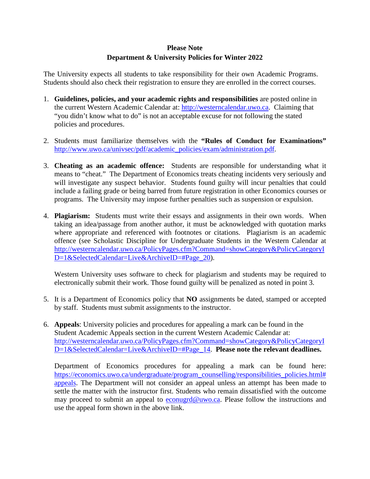# **Please Note Department & University Policies for Winter 2022**

The University expects all students to take responsibility for their own Academic Programs. Students should also check their registration to ensure they are enrolled in the correct courses.

- 1. **Guidelines, policies, and your academic rights and responsibilities** are posted online in the current Western Academic Calendar at: [http://westerncalendar.uwo.ca.](http://westerncalendar.uwo.ca/) Claiming that "you didn't know what to do" is not an acceptable excuse for not following the stated policies and procedures.
- 2. Students must familiarize themselves with the **"Rules of Conduct for Examinations"** [http://www.uwo.ca/univsec/pdf/academic\\_policies/exam/administration.pdf.](http://www.uwo.ca/univsec/pdf/academic_policies/exam/administration.pdf)
- 3. **Cheating as an academic offence:** Students are responsible for understanding what it means to "cheat." The Department of Economics treats cheating incidents very seriously and will investigate any suspect behavior. Students found guilty will incur penalties that could include a failing grade or being barred from future registration in other Economics courses or programs. The University may impose further penalties such as suspension or expulsion.
- 4. **Plagiarism:** Students must write their essays and assignments in their own words. When taking an idea/passage from another author, it must be acknowledged with quotation marks where appropriate and referenced with footnotes or citations. Plagiarism is an academic offence (see Scholastic Discipline for Undergraduate Students in the Western Calendar at [http://westerncalendar.uwo.ca/PolicyPages.cfm?Command=showCategory&PolicyCategoryI](http://westerncalendar.uwo.ca/PolicyPages.cfm?Command=showCategory&PolicyCategoryID=1&SelectedCalendar=Live&ArchiveID=#Page_20) [D=1&SelectedCalendar=Live&ArchiveID=#Page\\_20\)](http://westerncalendar.uwo.ca/PolicyPages.cfm?Command=showCategory&PolicyCategoryID=1&SelectedCalendar=Live&ArchiveID=#Page_20).

Western University uses software to check for plagiarism and students may be required to electronically submit their work. Those found guilty will be penalized as noted in point 3.

- 5. It is a Department of Economics policy that **NO** assignments be dated, stamped or accepted by staff. Students must submit assignments to the instructor.
- 6. **Appeals**: University policies and procedures for appealing a mark can be found in the Student Academic Appeals section in the current Western Academic Calendar at: [http://westerncalendar.uwo.ca/PolicyPages.cfm?Command=showCategory&PolicyCategoryI](http://westerncalendar.uwo.ca/PolicyPages.cfm?Command=showCategory&PolicyCategoryID=1&SelectedCalendar=Live&ArchiveID=#Page_14) [D=1&SelectedCalendar=Live&ArchiveID=#Page\\_14.](http://westerncalendar.uwo.ca/PolicyPages.cfm?Command=showCategory&PolicyCategoryID=1&SelectedCalendar=Live&ArchiveID=#Page_14) **Please note the relevant deadlines.**

Department of Economics procedures for appealing a mark can be found here: [https://economics.uwo.ca/undergraduate/program\\_counselling/responsibilities\\_policies.html#](https://economics.uwo.ca/undergraduate/program_counselling/responsibilities_policies.html#appeals) [appeals.](https://economics.uwo.ca/undergraduate/program_counselling/responsibilities_policies.html#appeals) The Department will not consider an appeal unless an attempt has been made to settle the matter with the instructor first. Students who remain dissatisfied with the outcome may proceed to submit an appeal to [econugrd@uwo.ca.](mailto:econugrd@uwo.ca) Please follow the instructions and use the appeal form shown in the above link.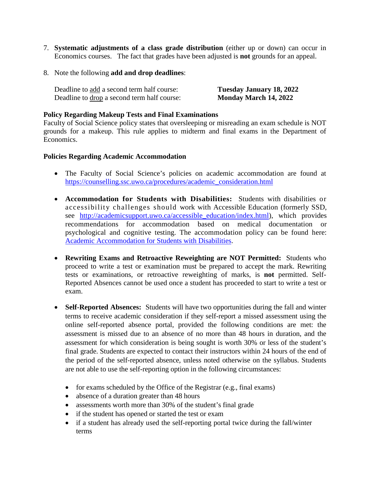- 7. **Systematic adjustments of a class grade distribution** (either up or down) can occur in Economics courses. The fact that grades have been adjusted is **not** grounds for an appeal.
- 8. Note the following **add and drop deadlines**:

| Deadline to add a second term half course:  | Tuesday January 18, 2022 |
|---------------------------------------------|--------------------------|
| Deadline to drop a second term half course: | Monday March 14, 2022    |

#### **Policy Regarding Makeup Tests and Final Examinations**

Faculty of Social Science policy states that oversleeping or misreading an exam schedule is NOT grounds for a makeup. This rule applies to midterm and final exams in the Department of Economics.

#### **Policies Regarding Academic Accommodation**

- The Faculty of Social Science's policies on academic accommodation are found at [https://counselling.ssc.uwo.ca/procedures/academic\\_consideration.html](https://counselling.ssc.uwo.ca/procedures/academic_consideration.html)
- **Accommodation for Students with Disabilities:** Students with disabilities or accessibility challenges should work with Accessible Education (formerly SSD, see http://academicsupport.uwo.ca/accessible education/index.html), which provides recommendations for accommodation based on medical documentation or psychological and cognitive testing. The accommodation policy can be found here: [Academic Accommodation for Students with Disabilities.](https://www.uwo.ca/univsec/pdf/academic_policies/appeals/Academic%20Accommodation_disabilities.pdf)
- **Rewriting Exams and Retroactive Reweighting are NOT Permitted:** Students who proceed to write a test or examination must be prepared to accept the mark. Rewriting tests or examinations, or retroactive reweighting of marks, is **not** permitted. Self-Reported Absences cannot be used once a student has proceeded to start to write a test or exam.
- **Self-Reported Absences:** Students will have two opportunities during the fall and winter terms to receive academic consideration if they self-report a missed assessment using the online self-reported absence portal, provided the following conditions are met: the assessment is missed due to an absence of no more than 48 hours in duration, and the assessment for which consideration is being sought is worth 30% or less of the student's final grade. Students are expected to contact their instructors within 24 hours of the end of the period of the self-reported absence, unless noted otherwise on the syllabus. Students are not able to use the self-reporting option in the following circumstances:
	- for exams scheduled by the Office of the Registrar (e.g., final exams)
	- absence of a duration greater than 48 hours
	- assessments worth more than 30% of the student's final grade
	- if the student has opened or started the test or exam
	- if a student has already used the self-reporting portal twice during the fall/winter terms